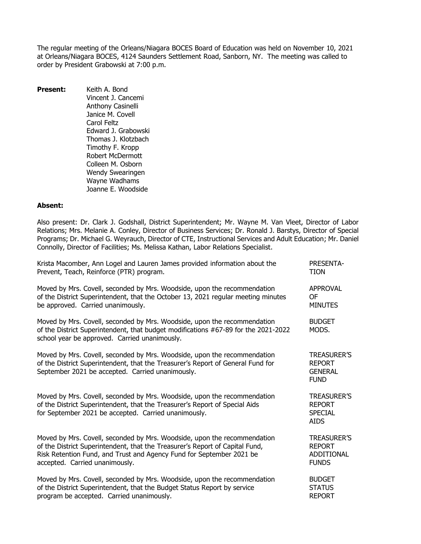The regular meeting of the Orleans/Niagara BOCES Board of Education was held on November 10, 2021 at Orleans/Niagara BOCES, 4124 Saunders Settlement Road, Sanborn, NY. The meeting was called to order by President Grabowski at 7:00 p.m.

**Present:** Keith A. Bond Vincent J. Cancemi Anthony Casinelli Janice M. Covell Carol Feltz Edward J. Grabowski Thomas J. Klotzbach Timothy F. Kropp Robert McDermott Colleen M. Osborn Wendy Swearingen Wayne Wadhams Joanne E. Woodside

# **Absent:**

Also present: Dr. Clark J. Godshall, District Superintendent; Mr. Wayne M. Van Vleet, Director of Labor Relations; Mrs. Melanie A. Conley, Director of Business Services; Dr. Ronald J. Barstys, Director of Special Programs; Dr. Michael G. Weyrauch, Director of CTE, Instructional Services and Adult Education; Mr. Daniel Connolly, Director of Facilities; Ms. Melissa Kathan, Labor Relations Specialist.

| Krista Macomber, Ann Logel and Lauren James provided information about the                                                                                                                                      | <b>PRESENTA-</b>                                                     |
|-----------------------------------------------------------------------------------------------------------------------------------------------------------------------------------------------------------------|----------------------------------------------------------------------|
| Prevent, Teach, Reinforce (PTR) program.                                                                                                                                                                        | <b>TION</b>                                                          |
| Moved by Mrs. Covell, seconded by Mrs. Woodside, upon the recommendation                                                                                                                                        | <b>APPROVAL</b>                                                      |
| of the District Superintendent, that the October 13, 2021 regular meeting minutes                                                                                                                               | <b>OF</b>                                                            |
| be approved. Carried unanimously.                                                                                                                                                                               | <b>MINUTES</b>                                                       |
| Moved by Mrs. Covell, seconded by Mrs. Woodside, upon the recommendation<br>of the District Superintendent, that budget modifications #67-89 for the 2021-2022<br>school year be approved. Carried unanimously. | <b>BUDGET</b><br>MODS.                                               |
| Moved by Mrs. Covell, seconded by Mrs. Woodside, upon the recommendation<br>of the District Superintendent, that the Treasurer's Report of General Fund for<br>September 2021 be accepted. Carried unanimously. | <b>TREASURER'S</b><br><b>REPORT</b><br><b>GENERAL</b><br><b>FUND</b> |
| Moved by Mrs. Covell, seconded by Mrs. Woodside, upon the recommendation<br>of the District Superintendent, that the Treasurer's Report of Special Aids<br>for September 2021 be accepted. Carried unanimously. | <b>TREASURER'S</b><br><b>REPORT</b><br><b>SPECIAL</b><br><b>AIDS</b> |
| Moved by Mrs. Covell, seconded by Mrs. Woodside, upon the recommendation                                                                                                                                        | <b>TREASURER'S</b>                                                   |
| of the District Superintendent, that the Treasurer's Report of Capital Fund,                                                                                                                                    | <b>REPORT</b>                                                        |
| Risk Retention Fund, and Trust and Agency Fund for September 2021 be                                                                                                                                            | <b>ADDITIONAL</b>                                                    |
| accepted. Carried unanimously.                                                                                                                                                                                  | <b>FUNDS</b>                                                         |
| Moved by Mrs. Covell, seconded by Mrs. Woodside, upon the recommendation                                                                                                                                        | <b>BUDGET</b>                                                        |
| of the District Superintendent, that the Budget Status Report by service                                                                                                                                        | <b>STATUS</b>                                                        |
| program be accepted. Carried unanimously.                                                                                                                                                                       | <b>REPORT</b>                                                        |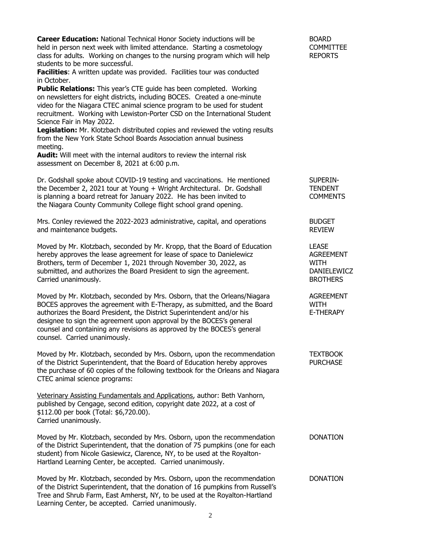| Career Education: National Technical Honor Society inductions will be<br>held in person next week with limited attendance. Starting a cosmetology<br>class for adults. Working on changes to the nursing program which will help<br>students to be more successful.<br>Facilities: A written update was provided. Facilities tour was conducted<br>in October.<br><b>Public Relations:</b> This year's CTE guide has been completed. Working<br>on newsletters for eight districts, including BOCES. Created a one-minute<br>video for the Niagara CTEC animal science program to be used for student<br>recruitment. Working with Lewiston-Porter CSD on the International Student<br>Science Fair in May 2022.<br>Legislation: Mr. Klotzbach distributed copies and reviewed the voting results<br>from the New York State School Boards Association annual business<br>meeting.<br><b>Audit:</b> Will meet with the internal auditors to review the internal risk<br>assessment on December 8, 2021 at 6:00 p.m. | <b>BOARD</b><br><b>COMMITTEE</b><br><b>REPORTS</b>                                |
|---------------------------------------------------------------------------------------------------------------------------------------------------------------------------------------------------------------------------------------------------------------------------------------------------------------------------------------------------------------------------------------------------------------------------------------------------------------------------------------------------------------------------------------------------------------------------------------------------------------------------------------------------------------------------------------------------------------------------------------------------------------------------------------------------------------------------------------------------------------------------------------------------------------------------------------------------------------------------------------------------------------------|-----------------------------------------------------------------------------------|
| Dr. Godshall spoke about COVID-19 testing and vaccinations. He mentioned<br>the December 2, 2021 tour at Young + Wright Architectural. Dr. Godshall<br>is planning a board retreat for January 2022. He has been invited to<br>the Niagara County Community College flight school grand opening.                                                                                                                                                                                                                                                                                                                                                                                                                                                                                                                                                                                                                                                                                                                    | SUPERIN-<br><b>TENDENT</b><br><b>COMMENTS</b>                                     |
| Mrs. Conley reviewed the 2022-2023 administrative, capital, and operations<br>and maintenance budgets.                                                                                                                                                                                                                                                                                                                                                                                                                                                                                                                                                                                                                                                                                                                                                                                                                                                                                                              | <b>BUDGET</b><br><b>REVIEW</b>                                                    |
| Moved by Mr. Klotzbach, seconded by Mr. Kropp, that the Board of Education<br>hereby approves the lease agreement for lease of space to Danielewicz<br>Brothers, term of December 1, 2021 through November 30, 2022, as<br>submitted, and authorizes the Board President to sign the agreement.<br>Carried unanimously.                                                                                                                                                                                                                                                                                                                                                                                                                                                                                                                                                                                                                                                                                             | <b>LEASE</b><br><b>AGREEMENT</b><br>WITH<br><b>DANIELEWICZ</b><br><b>BROTHERS</b> |
| Moved by Mr. Klotzbach, seconded by Mrs. Osborn, that the Orleans/Niagara<br>BOCES approves the agreement with E-Therapy, as submitted, and the Board<br>authorizes the Board President, the District Superintendent and/or his<br>designee to sign the agreement upon approval by the BOCES's general<br>counsel and containing any revisions as approved by the BOCES's general<br>counsel. Carried unanimously.                                                                                                                                                                                                                                                                                                                                                                                                                                                                                                                                                                                                  | <b>AGREEMENT</b><br>WITH<br>E-THERAPY                                             |
| Moved by Mr. Klotzbach, seconded by Mrs. Osborn, upon the recommendation<br>of the District Superintendent, that the Board of Education hereby approves<br>the purchase of 60 copies of the following textbook for the Orleans and Niagara<br>CTEC animal science programs:                                                                                                                                                                                                                                                                                                                                                                                                                                                                                                                                                                                                                                                                                                                                         | <b>TEXTBOOK</b><br><b>PURCHASE</b>                                                |
| Veterinary Assisting Fundamentals and Applications, author: Beth Vanhorn,<br>published by Cengage, second edition, copyright date 2022, at a cost of<br>\$112.00 per book (Total: \$6,720.00).<br>Carried unanimously.                                                                                                                                                                                                                                                                                                                                                                                                                                                                                                                                                                                                                                                                                                                                                                                              |                                                                                   |
| Moved by Mr. Klotzbach, seconded by Mrs. Osborn, upon the recommendation<br>of the District Superintendent, that the donation of 75 pumpkins (one for each<br>student) from Nicole Gasiewicz, Clarence, NY, to be used at the Royalton-<br>Hartland Learning Center, be accepted. Carried unanimously.                                                                                                                                                                                                                                                                                                                                                                                                                                                                                                                                                                                                                                                                                                              | <b>DONATION</b>                                                                   |
| Moved by Mr. Klotzbach, seconded by Mrs. Osborn, upon the recommendation<br>of the District Superintendent, that the donation of 16 pumpkins from Russell's<br>Tree and Shrub Farm, East Amherst, NY, to be used at the Royalton-Hartland<br>Learning Center, be accepted. Carried unanimously.                                                                                                                                                                                                                                                                                                                                                                                                                                                                                                                                                                                                                                                                                                                     | <b>DONATION</b>                                                                   |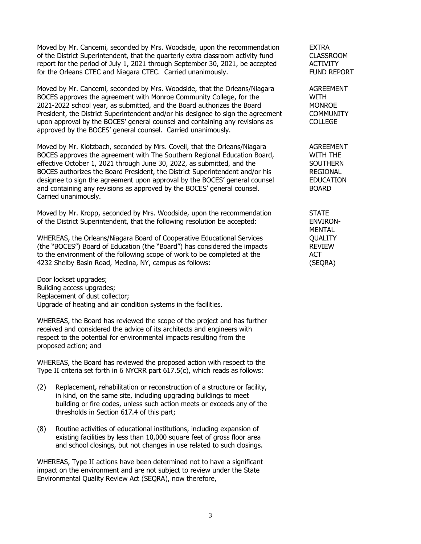Moved by Mr. Cancemi, seconded by Mrs. Woodside, upon the recommendation EXTRA of the District Superintendent, that the quarterly extra classroom activity fund CLASSROOM report for the period of July 1, 2021 through September 30, 2021, be accepted ACTIVITY for the Orleans CTEC and Niagara CTEC. Carried unanimously. The Summer Summer CONSERVATE: FUND REPORT

Moved by Mr. Cancemi, seconded by Mrs. Woodside, that the Orleans/Niagara AGREEMENT BOCES approves the agreement with Monroe Community College, for the WITH 2021-2022 school year, as submitted, and the Board authorizes the Board MONROE President, the District Superintendent and/or his designee to sign the agreement COMMUNITY upon approval by the BOCES' general counsel and containing any revisions as COLLEGE approved by the BOCES' general counsel. Carried unanimously.

Moved by Mr. Klotzbach, seconded by Mrs. Covell, that the Orleans/Niagara AGREEMENT BOCES approves the agreement with The Southern Regional Education Board, WITH THE effective October 1, 2021 through June 30, 2022, as submitted, and the SOUTHERN BOCES authorizes the Board President, the District Superintendent and/or his REGIONAL designee to sign the agreement upon approval by the BOCES' general counsel EDUCATION and containing any revisions as approved by the BOCES' general counsel. BOARD Carried unanimously.

Moved by Mr. Kropp, seconded by Mrs. Woodside, upon the recommendation STATE of the District Superintendent, that the following resolution be accepted: ENVIRON-

WHEREAS, the Orleans/Niagara Board of Cooperative Educational Services QUALITY (the "BOCES") Board of Education (the "Board") has considered the impacts REVIEW to the environment of the following scope of work to be completed at the ACT 4232 Shelby Basin Road, Medina, NY, campus as follows: (SEQRA)

Door lockset upgrades; Building access upgrades; Replacement of dust collector; Upgrade of heating and air condition systems in the facilities.

WHEREAS, the Board has reviewed the scope of the project and has further received and considered the advice of its architects and engineers with respect to the potential for environmental impacts resulting from the proposed action; and

WHEREAS, the Board has reviewed the proposed action with respect to the Type II criteria set forth in 6 NYCRR part 617.5(c), which reads as follows:

- (2) Replacement, rehabilitation or reconstruction of a structure or facility, in kind, on the same site, including upgrading buildings to meet building or fire codes, unless such action meets or exceeds any of the thresholds in Section 617.4 of this part;
- (8) Routine activities of educational institutions, including expansion of existing facilities by less than 10,000 square feet of gross floor area and school closings, but not changes in use related to such closings.

WHEREAS, Type II actions have been determined not to have a significant impact on the environment and are not subject to review under the State Environmental Quality Review Act (SEQRA), now therefore,

MENTAL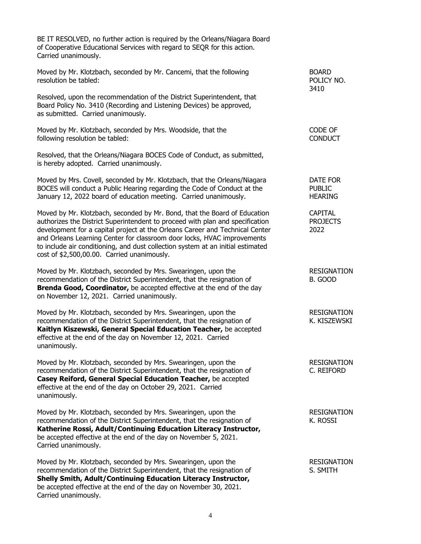BE IT RESOLVED, no further action is required by the Orleans/Niagara Board of Cooperative Educational Services with regard to SEQR for this action. Carried unanimously.

Moved by Mr. Klotzbach, seconded by Mr. Cancemi, that the following BOARD resolution be tabled: The state of the state of the state of the state of the state of the state of the state of the state of the state of the state of the state of the state of the state of the state of the state of the s

Resolved, upon the recommendation of the District Superintendent, that Board Policy No. 3410 (Recording and Listening Devices) be approved, as submitted. Carried unanimously.

Moved by Mr. Klotzbach, seconded by Mrs. Woodside, that the CODE CF CODE OF following resolution be tabled: CONDUCT

Resolved, that the Orleans/Niagara BOCES Code of Conduct, as submitted, is hereby adopted. Carried unanimously.

Moved by Mrs. Covell, seconded by Mr. Klotzbach, that the Orleans/Niagara DATE FOR BOCES will conduct a Public Hearing regarding the Code of Conduct at the PUBLIC January 12, 2022 board of education meeting. Carried unanimously. HEARING

Moved by Mr. Klotzbach, seconded by Mr. Bond, that the Board of Education CAPITAL authorizes the District Superintendent to proceed with plan and specification PROJECTS development for a capital project at the Orleans Career and Technical Center 2022 and Orleans Learning Center for classroom door locks, HVAC improvements to include air conditioning, and dust collection system at an initial estimated cost of \$2,500,00.00. Carried unanimously.

Moved by Mr. Klotzbach, seconded by Mrs. Swearingen, upon the RESIGNATION recommendation of the District Superintendent, that the resignation of B. GOOD **Brenda Good, Coordinator,** be accepted effective at the end of the day on November 12, 2021. Carried unanimously.

Moved by Mr. Klotzbach, seconded by Mrs. Swearingen, upon the RESIGNATION recommendation of the District Superintendent, that the resignation of K. KISZEWSKI **Kaitlyn Kiszewski, General Special Education Teacher,** be accepted effective at the end of the day on November 12, 2021. Carried unanimously.

Moved by Mr. Klotzbach, seconded by Mrs. Swearingen, upon the RESIGNATION recommendation of the District Superintendent, that the resignation of C. REIFORD **Casey Reiford, General Special Education Teacher,** be accepted effective at the end of the day on October 29, 2021. Carried unanimously.

Moved by Mr. Klotzbach, seconded by Mrs. Swearingen, upon the RESIGNATION recommendation of the District Superintendent, that the resignation of The Mass R. ROSSI **Katherine Rossi, Adult/Continuing Education Literacy Instructor,** be accepted effective at the end of the day on November 5, 2021. Carried unanimously.

Moved by Mr. Klotzbach, seconded by Mrs. Swearingen, upon the RESIGNATION recommendation of the District Superintendent, that the resignation of S. SMITH **Shelly Smith, Adult/Continuing Education Literacy Instructor,** be accepted effective at the end of the day on November 30, 2021. Carried unanimously.

3410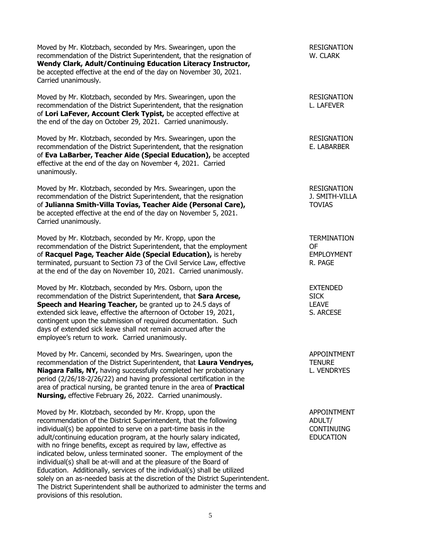Moved by Mr. Klotzbach, seconded by Mrs. Swearingen, upon the RESIGNATION recommendation of the District Superintendent, that the resignation of W. CLARK **Wendy Clark, Adult/Continuing Education Literacy Instructor,** be accepted effective at the end of the day on November 30, 2021. Carried unanimously.

Moved by Mr. Klotzbach, seconded by Mrs. Swearingen, upon the RESIGNATION recommendation of the District Superintendent, that the resignation L. LAFEVER of **Lori LaFever, Account Clerk Typist,** be accepted effective at the end of the day on October 29, 2021. Carried unanimously.

Moved by Mr. Klotzbach, seconded by Mrs. Swearingen, upon the RESIGNATION recommendation of the District Superintendent, that the resignation E. LABARBER of **Eva LaBarber, Teacher Aide (Special Education),** be accepted effective at the end of the day on November 4, 2021. Carried unanimously.

Moved by Mr. Klotzbach, seconded by Mrs. Swearingen, upon the RESIGNATION recommendation of the District Superintendent, that the resignation J. SMITH-VILLA of **Julianna Smith-Villa Tovias, Teacher Aide (Personal Care),** TOVIAS be accepted effective at the end of the day on November 5, 2021. Carried unanimously.

Moved by Mr. Klotzbach, seconded by Mr. Kropp, upon the TERMINATION recommendation of the District Superintendent, that the employment OF of **Racquel Page, Teacher Aide (Special Education),** is hereby EMPLOYMENT terminated, pursuant to Section 73 of the Civil Service Law, effective R. PAGE at the end of the day on November 10, 2021. Carried unanimously.

Moved by Mr. Klotzbach, seconded by Mrs. Osborn, upon the EXTENDED recommendation of the District Superintendent, that **Sara Arcese,** SICK **Speech and Hearing Teacher,** be granted up to 24.5 days of LEAVE extended sick leave, effective the afternoon of October 19, 2021, S. ARCESE contingent upon the submission of required documentation. Such days of extended sick leave shall not remain accrued after the employee's return to work. Carried unanimously.

Moved by Mr. Cancemi, seconded by Mrs. Swearingen, upon the APPOINTMENT recommendation of the District Superintendent, that Laura Vendryes, The MURE **Niagara Falls, NY, having successfully completed her probationary E. VENDRYES** period (2/26/18-2/26/22) and having professional certification in the area of practical nursing, be granted tenure in the area of **Practical Nursing,** effective February 26, 2022. Carried unanimously.

Moved by Mr. Klotzbach, seconded by Mr. Kropp, upon the APPOINTMENT recommendation of the District Superintendent, that the following and ADULT and ADULT individual(s) be appointed to serve on a part-time basis in the CONTINUING adult/continuing education program, at the hourly salary indicated, EDUCATION with no fringe benefits, except as required by law, effective as indicated below, unless terminated sooner. The employment of the individual(s) shall be at-will and at the pleasure of the Board of Education. Additionally, services of the individual(s) shall be utilized solely on an as-needed basis at the discretion of the District Superintendent. The District Superintendent shall be authorized to administer the terms and provisions of this resolution.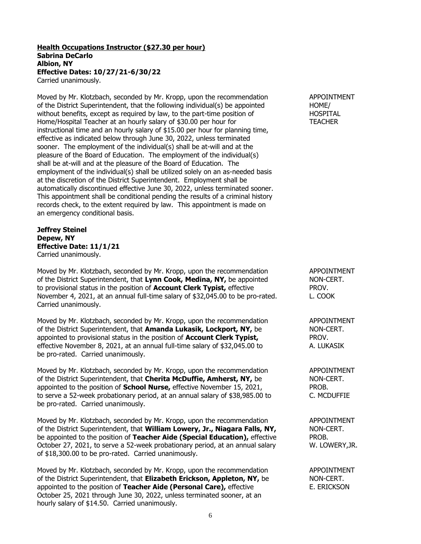### **Health Occupations Instructor (\$27.30 per hour) Sabrina DeCarlo Albion, NY Effective Dates: 10/27/21-6/30/22** Carried unanimously.

Moved by Mr. Klotzbach, seconded by Mr. Kropp, upon the recommendation APPOINTMENT of the District Superintendent, that the following individual(s) be appointed HOME/ without benefits, except as required by law, to the part-time position of **HOSPITAL** Home/Hospital Teacher at an hourly salary of \$30.00 per hour for TEACHER instructional time and an hourly salary of \$15.00 per hour for planning time, effective as indicated below through June 30, 2022, unless terminated sooner. The employment of the individual(s) shall be at-will and at the pleasure of the Board of Education. The employment of the individual(s) shall be at-will and at the pleasure of the Board of Education. The employment of the individual(s) shall be utilized solely on an as-needed basis at the discretion of the District Superintendent. Employment shall be automatically discontinued effective June 30, 2022, unless terminated sooner. This appointment shall be conditional pending the results of a criminal history records check, to the extent required by law. This appointment is made on an emergency conditional basis.

**Jeffrey Steinel Depew, NY Effective Date: 11/1/21** Carried unanimously.

Moved by Mr. Klotzbach, seconded by Mr. Kropp, upon the recommendation APPOINTMENT of the District Superintendent, that **Lynn Cook, Medina, NY,** be appointed NON-CERT. to provisional status in the position of **Account Clerk Typist,** effective PROV. November 4, 2021, at an annual full-time salary of \$32,045.00 to be pro-rated. L. COOK Carried unanimously.

Moved by Mr. Klotzbach, seconded by Mr. Kropp, upon the recommendation APPOINTMENT of the District Superintendent, that **Amanda Lukasik, Lockport, NY,** be NON-CERT. appointed to provisional status in the position of **Account Clerk Typist,** PROV. effective November 8, 2021, at an annual full-time salary of \$32,045.00 to A. LUKASIK be pro-rated. Carried unanimously.

Moved by Mr. Klotzbach, seconded by Mr. Kropp, upon the recommendation APPOINTMENT of the District Superintendent, that **Cherita McDuffie, Amherst, NY,** be NON-CERT. appointed to the position of **School Nurse,** effective November 15, 2021, PROB. to serve a 52-week probationary period, at an annual salary of \$38,985.00 to C. MCDUFFIE be pro-rated. Carried unanimously.

Moved by Mr. Klotzbach, seconded by Mr. Kropp, upon the recommendation APPOINTMENT of the District Superintendent, that **William Lowery, Jr., Niagara Falls, NY,** NON-CERT. be appointed to the position of **Teacher Aide (Special Education),** effective PROB. October 27, 2021, to serve a 52-week probationary period, at an annual salary W. LOWERY, JR. of \$18,300.00 to be pro-rated. Carried unanimously.

Moved by Mr. Klotzbach, seconded by Mr. Kropp, upon the recommendation APPOINTMENT of the District Superintendent, that **Elizabeth Erickson, Appleton, NY,** be NON-CERT. appointed to the position of **Teacher Aide (Personal Care)**, effective E. ERICKSON October 25, 2021 through June 30, 2022, unless terminated sooner, at an hourly salary of \$14.50. Carried unanimously.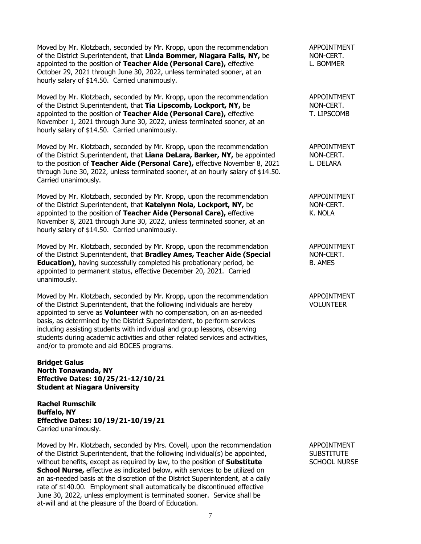Moved by Mr. Klotzbach, seconded by Mr. Kropp, upon the recommendation APPOINTMENT of the District Superintendent, that **Linda Bommer, Niagara Falls, NY,** be NON-CERT. appointed to the position of **Teacher Aide (Personal Care),** effective L. BOMMER October 29, 2021 through June 30, 2022, unless terminated sooner, at an hourly salary of \$14.50. Carried unanimously.

Moved by Mr. Klotzbach, seconded by Mr. Kropp, upon the recommendation APPOINTMENT of the District Superintendent, that **Tia Lipscomb, Lockport, NY,** be NON-CERT. appointed to the position of **Teacher Aide (Personal Care)**, effective T. LIPSCOMB November 1, 2021 through June 30, 2022, unless terminated sooner, at an hourly salary of \$14.50. Carried unanimously.

Moved by Mr. Klotzbach, seconded by Mr. Kropp, upon the recommendation APPOINTMENT of the District Superintendent, that **Liana DeLara, Barker, NY,** be appointed NON-CERT. to the position of **Teacher Aide (Personal Care),** effective November 8, 2021 L. DELARA through June 30, 2022, unless terminated sooner, at an hourly salary of \$14.50. Carried unanimously.

Moved by Mr. Klotzbach, seconded by Mr. Kropp, upon the recommendation APPOINTMENT of the District Superintendent, that **Katelynn Nola, Lockport, NY**, be NON-CERT. appointed to the position of **Teacher Aide (Personal Care)**, effective **K.** NOLA November 8, 2021 through June 30, 2022, unless terminated sooner, at an hourly salary of \$14.50. Carried unanimously.

Moved by Mr. Klotzbach, seconded by Mr. Kropp, upon the recommendation APPOINTMENT of the District Superintendent, that **Bradley Ames, Teacher Aide (Special** NON-CERT. **Education),** having successfully completed his probationary period, be B. AMES appointed to permanent status, effective December 20, 2021. Carried unanimously.

Moved by Mr. Klotzbach, seconded by Mr. Kropp, upon the recommendation APPOINTMENT of the District Superintendent, that the following individuals are hereby VOLUNTEER appointed to serve as **Volunteer** with no compensation, on an as-needed basis, as determined by the District Superintendent, to perform services including assisting students with individual and group lessons, observing students during academic activities and other related services and activities, and/or to promote and aid BOCES programs.

**Bridget Galus North Tonawanda, NY Effective Dates: 10/25/21-12/10/21 Student at Niagara University**

**Rachel Rumschik Buffalo, NY Effective Dates: 10/19/21-10/19/21** Carried unanimously.

Moved by Mr. Klotzbach, seconded by Mrs. Covell, upon the recommendation APPOINTMENT of the District Superintendent, that the following individual(s) be appointed, SUBSTITUTE without benefits, except as required by law, to the position of **Substitute** SCHOOL NURSE **School Nurse,** effective as indicated below, with services to be utilized on an as-needed basis at the discretion of the District Superintendent, at a daily rate of \$140.00. Employment shall automatically be discontinued effective June 30, 2022, unless employment is terminated sooner. Service shall be at-will and at the pleasure of the Board of Education.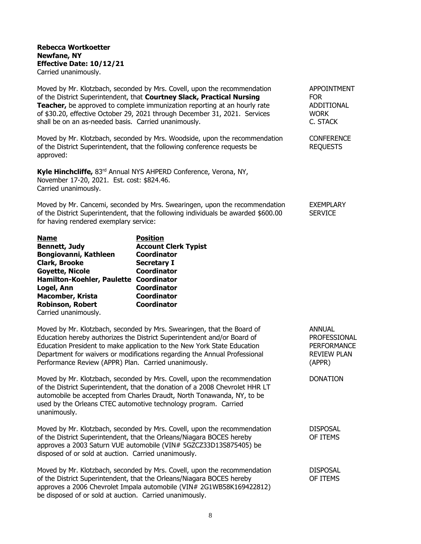# **Rebecca Wortkoetter Newfane, NY Effective Date: 10/12/21** Carried unanimously.

Moved by Mr. Klotzbach, seconded by Mrs. Covell, upon the recommendation APPOINTMENT of the District Superintendent, that **Courtney Slack, Practical Nursing** FOR **Teacher,** be approved to complete immunization reporting at an hourly rate ADDITIONAL of \$30.20, effective October 29, 2021 through December 31, 2021. Services WORK shall be on an as-needed basis. Carried unanimously. The case of the control of C. STACK

Moved by Mr. Klotzbach, seconded by Mrs. Woodside, upon the recommendation CONFERENCE of the District Superintendent, that the following conference requests be REQUESTS approved:

**Kyle Hinchcliffe,** 83rd Annual NYS AHPERD Conference, Verona, NY, November 17-20, 2021. Est. cost: \$824.46. Carried unanimously.

Moved by Mr. Cancemi, seconded by Mrs. Swearingen, upon the recommendation EXEMPLARY of the District Superintendent, that the following individuals be awarded \$600.00 SERVICE for having rendered exemplary service:

| <b>Position</b>                        |
|----------------------------------------|
| <b>Account Clerk Typist</b>            |
| <b>Coordinator</b>                     |
| <b>Secretary I</b>                     |
| <b>Coordinator</b>                     |
| Hamilton-Koehler, Paulette Coordinator |
| <b>Coordinator</b>                     |
| <b>Coordinator</b>                     |
| <b>Coordinator</b>                     |
|                                        |
|                                        |

Moved by Mr. Klotzbach, seconded by Mrs. Swearingen, that the Board of ANNUAL Education hereby authorizes the District Superintendent and/or Board of PROFESSIONAL Education President to make application to the New York State Education PERFORMANCE Department for waivers or modifications regarding the Annual Professional REVIEW PLAN Performance Review (APPR) Plan. Carried unanimously. (APPR)

Moved by Mr. Klotzbach, seconded by Mrs. Covell, upon the recommendation DONATION of the District Superintendent, that the donation of a 2008 Chevrolet HHR LT automobile be accepted from Charles Draudt, North Tonawanda, NY, to be used by the Orleans CTEC automotive technology program. Carried unanimously.

Moved by Mr. Klotzbach, seconded by Mrs. Covell, upon the recommendation DISPOSAL of the District Superintendent, that the Orleans/Niagara BOCES hereby OF ITEMS approves a 2003 Saturn VUE automobile (VIN# 5GZCZ33D13S875405) be disposed of or sold at auction. Carried unanimously.

Moved by Mr. Klotzbach, seconded by Mrs. Covell, upon the recommendation DISPOSAL of the District Superintendent, that the Orleans/Niagara BOCES hereby OF ITEMS approves a 2006 Chevrolet Impala automobile (VIN# 2G1WB58K169422812) be disposed of or sold at auction. Carried unanimously.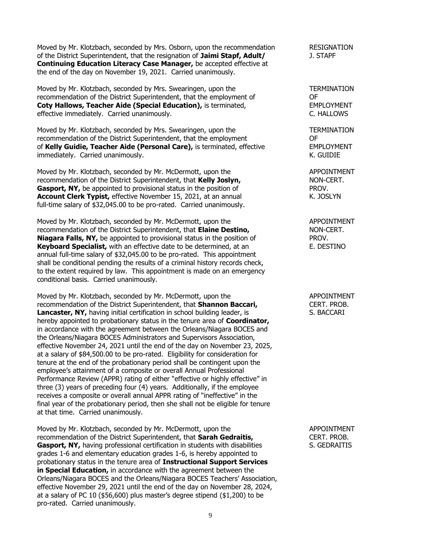Moved by Mr. Klotzbach, seconded by Mrs. Osborn, upon the recommendation RESIGNATION of the District Superintendent, that the resignation of **Jaimi Stapf, Adult/** J. STAPF **Continuing Education Literacy Case Manager,** be accepted effective at the end of the day on November 19, 2021. Carried unanimously.

Moved by Mr. Klotzbach, seconded by Mrs. Swearingen, upon the TERMINATION recommendation of the District Superintendent, that the employment of OF **Coty Hallows, Teacher Aide (Special Education), is terminated, EMPLOYMENT** effective immediately. Carried unanimously. The contract of the contract of the C. HALLOWS

Moved by Mr. Klotzbach, seconded by Mrs. Swearingen, upon the TERMINATION recommendation of the District Superintendent, that the employment OF of **Kelly Guidie, Teacher Aide (Personal Care),** is terminated, effective EMPLOYMENT immediately. Carried unanimously. **K. GUIDIE** 

Moved by Mr. Klotzbach, seconded by Mr. McDermott, upon the APPOINTMENT recommendation of the District Superintendent, that **Kelly Joslyn,** NON-CERT. **Gasport, NY,** be appointed to provisional status in the position of **PROV. Account Clerk Typist,** effective November 15, 2021, at an annual K. JOSLYN full-time salary of \$32,045.00 to be pro-rated. Carried unanimously.

Moved by Mr. Klotzbach, seconded by Mr. McDermott, upon the APPOINTMENT recommendation of the District Superintendent, that **Elaine Destino,** NON-CERT. **Niagara Falls, NY,** be appointed to provisional status in the position of PROV. **Keyboard Specialist,** with an effective date to be determined, at an E. DESTINO annual full-time salary of \$32,045.00 to be pro-rated. This appointment shall be conditional pending the results of a criminal history records check, to the extent required by law. This appointment is made on an emergency conditional basis. Carried unanimously.

Moved by Mr. Klotzbach, seconded by Mr. McDermott, upon the APPOINTMENT recommendation of the District Superintendent, that **Shannon Baccari,** CERT. PROB. **Lancaster, NY,** having initial certification in school building leader, is S. BACCARI hereby appointed to probationary status in the tenure area of **Coordinator,** in accordance with the agreement between the Orleans/Niagara BOCES and the Orleans/Niagara BOCES Administrators and Supervisors Association, effective November 24, 2021 until the end of the day on November 23, 2025, at a salary of \$84,500.00 to be pro-rated. Eligibility for consideration for tenure at the end of the probationary period shall be contingent upon the employee's attainment of a composite or overall Annual Professional Performance Review (APPR) rating of either "effective or highly effective" in three (3) years of preceding four (4) years. Additionally, if the employee receives a composite or overall annual APPR rating of "ineffective" in the final year of the probationary period, then she shall not be eligible for tenure at that time. Carried unanimously.

Moved by Mr. Klotzbach, seconded by Mr. McDermott, upon the APPOINTMENT recommendation of the District Superintendent, that **Sarah Gedraitis,** CERT. PROB. **Gasport, NY,** having professional certification in students with disabilities S. GEDRAITIS grades 1-6 and elementary education grades 1-6, is hereby appointed to probationary status in the tenure area of **Instructional Support Services in Special Education,** in accordance with the agreement between the Orleans/Niagara BOCES and the Orleans/Niagara BOCES Teachers' Association, effective November 29, 2021 until the end of the day on November 28, 2024, at a salary of PC 10 (\$56,600) plus master's degree stipend (\$1,200) to be pro-rated. Carried unanimously.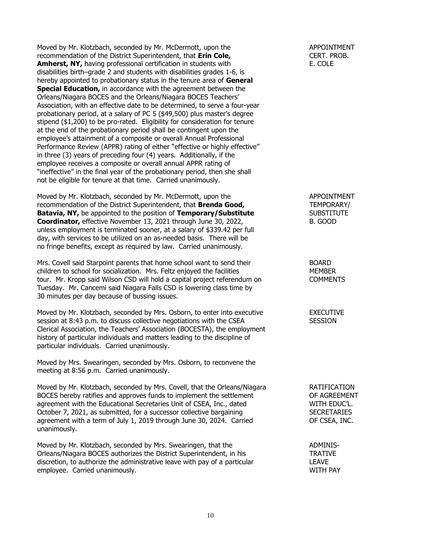Moved by Mr. Klotzbach, seconded by Mr. McDermott, upon the APPOINTMENT recommendation of the District Superintendent, that **Erin Cole,** CERT. PROB. **Amherst, NY,** having professional certification in students with E. COLE disabilities birth–grade 2 and students with disabilities grades 1-6, is hereby appointed to probationary status in the tenure area of **General Special Education,** in accordance with the agreement between the Orleans/Niagara BOCES and the Orleans/Niagara BOCES Teachers' Association, with an effective date to be determined, to serve a four-year probationary period, at a salary of PC 5 (\$49,500) plus master's degree stipend (\$1,200) to be pro-rated. Eligibility for consideration for tenure at the end of the probationary period shall be contingent upon the employee's attainment of a composite or overall Annual Professional Performance Review (APPR) rating of either "effective or highly effective" in three (3) years of preceding four (4) years. Additionally, if the employee receives a composite or overall annual APPR rating of "ineffective" in the final year of the probationary period, then she shall not be eligible for tenure at that time. Carried unanimously.

Moved by Mr. Klotzbach, seconded by Mr. McDermott, upon the APPOINTMENT recommendation of the District Superintendent, that **Brenda Good,** TEMPORARY/ **Batavia, NY, be appointed to the position of <b>Temporary/Substitute** SUBSTITUTE **Coordinator,** effective November 13, 2021 through June 30, 2022, B. GOOD unless employment is terminated sooner, at a salary of \$339.42 per full day, with services to be utilized on an as-needed basis. There will be no fringe benefits, except as required by law. Carried unanimously.

Mrs. Covell said Starpoint parents that home school want to send their **BOARD** children to school for socialization. Mrs. Feltz enjoyed the facilities MEMBER tour. Mr. Kropp said Wilson CSD will hold a capital project referendum on COMMENTS Tuesday. Mr. Cancemi said Niagara Falls CSD is lowering class time by 30 minutes per day because of bussing issues.

Moved by Mr. Klotzbach, seconded by Mrs. Osborn, to enter into executive EXECUTIVE session at 8:43 p.m. to discuss collective negotiations with the CSEA SESSION Clerical Association, the Teachers' Association (BOCESTA), the employment history of particular individuals and matters leading to the discipline of particular individuals. Carried unanimously.

Moved by Mrs. Swearingen, seconded by Mrs. Osborn, to reconvene the meeting at 8:56 p.m. Carried unanimously.

Moved by Mr. Klotzbach, seconded by Mrs. Covell, that the Orleans/Niagara RATIFICATION BOCES hereby ratifies and approves funds to implement the settlement OF AGREEMENT agreement with the Educational Secretaries Unit of CSEA, Inc., dated WITH EDUC'L. October 7, 2021, as submitted, for a successor collective bargaining SECRETARIES agreement with a term of July 1, 2019 through June 30, 2024. Carried **OF CSEA, INC.** unanimously.

Moved by Mr. Klotzbach, seconded by Mrs. Swearingen, that the ADMINIS-Orleans/Niagara BOCES authorizes the District Superintendent, in his TRATIVE discretion, to authorize the administrative leave with pay of a particular **LEAVE** employee. Carried unanimously. WITH PAY